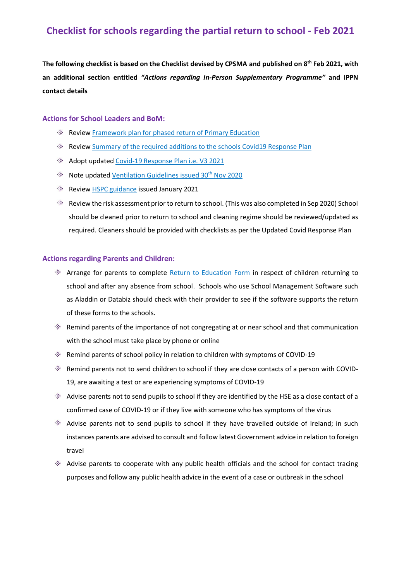## **Checklist for schools regarding the partial return to school - Feb 2021**

**The following checklist is based on the Checklist devised by CPSMA and published on 8th Feb 2021, with an additional section entitled** *"Actions regarding In-Person Supplementary Programme"* **and IPPN contact details**

#### **Actions for School Leaders and BoM:**

- **Revie[w Framework plan for phased return of Primary Education](http://www.ippn.ie/index.php?option=com_mtree&task=att_download&link_id=6414&cf_id=24)**
- Revie[w Summary of the required additions to the schools Covid19 Response Plan](http://www.ippn.ie/index.php?option=com_mtree&task=att_download&link_id=6415&cf_id=24)
- Adopt updated [Covid-19 Response Plan i.e. V3 2021](http://ippn.ie/index.php?option=com_mtree&task=att_download&link_id=6402&cf_id=24)
- **Note updated [Ventilation Guidelines](http://ippn.ie/index.php?option=com_mtree&task=att_download&link_id=6369&cf_id=24) issued 30th Nov 2020**
- Revie[w HSPC guidance](http://www.ippn.ie/index.php?option=com_mtree&task=att_download&link_id=6416&cf_id=24) issued January 2021
- Review the risk assessment prior to return to school. (This was also completed in Sep 2020) School should be cleaned prior to return to school and cleaning regime should be reviewed/updated as required. Cleaners should be provided with checklists as per the Updated Covid Response Plan

#### **Actions regarding Parents and Children:**

- $\Diamond$  Arrange for parents to complete [Return to Education Form](https://www.hpsc.ie/a-z/respiratory/coronavirus/novelcoronavirus/guidance/childcareguidance/Return%20to%20Educational%20Facility%20declaration%20form.pdf) in respect of children returning to school and after any absence from school. Schools who use School Management Software such as Aladdin or Databiz should check with their provider to see if the software supports the return of these forms to the schools.
- $\gg$  Remind parents of the importance of not congregating at or near school and that communication with the school must take place by phone or online
- $\gg$  Remind parents of school policy in relation to children with symptoms of COVID-19
- $\gg$  Remind parents not to send children to school if they are close contacts of a person with COVID-19, are awaiting a test or are experiencing symptoms of COVID-19
- $\gg$  Advise parents not to send pupils to school if they are identified by the HSE as a close contact of a confirmed case of COVID-19 or if they live with someone who has symptoms of the virus
- Advise parents not to send pupils to school if they have travelled outside of Ireland; in such instances parents are advised to consult and follow latest Government advice in relation to foreign travel
- $\gg$  Advise parents to cooperate with any public health officials and the school for contact tracing purposes and follow any public health advice in the event of a case or outbreak in the school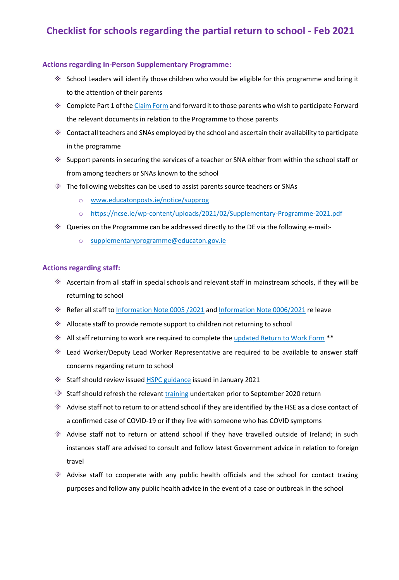# **Checklist for schools regarding the partial return to school - Feb 2021**

### **Actions regarding In-Person Supplementary Programme:**

- $\gg$  School Leaders will identify those children who would be eligible for this programme and bring it to the attention of their parents
- $\gg$  Complete Part 1 of th[e Claim Form](https://www.ippn.ie/index.php?option=com_mtree&task=att_download&link_id=6401&cf_id=24) and forward it to those parents who wish to participate Forward the relevant documents in relation to the Programme to those parents
- $\gg$  Contact all teachers and SNAs employed by the school and ascertain their availability to participate in the programme
- $\gg$  Support parents in securing the services of a teacher or SNA either from within the school staff or from among teachers or SNAs known to the school
- $\gg$  The following websites can be used to assist parents source teachers or SNAs
	- o [www.educatonposts.ie/notice/supprog](http://www.educatonposts.ie/notice/supprog)
	- o <https://ncse.ie/wp-content/uploads/2021/02/Supplementary-Programme-2021.pdf>
- $\Diamond$  Queries on the Programme can be addressed directly to the DE via the following e-mail:
	- o [supplementaryprogramme@educaton.gov.ie](mailto:supplementaryprogramme@educaton.gov.ie)

### **Actions regarding staff:**

- $\gg$  Ascertain from all staff in special schools and relevant staff in mainstream schools, if they will be returning to school
- Refer all staff to [Information Note 0005 /2021](http://ippn.ie/index.php?option=com_mtree&task=att_download&link_id=6410&cf_id=24) an[d Information Note 0006/2021](http://ippn.ie/index.php?option=com_mtree&task=att_download&link_id=6411&cf_id=24) re leave
- Allocate staff to provide remote support to children not returning to school
- All staff returning to work are required to complete the [updated Return to Work Form](http://www.ippn.ie/index.php?option=com_mtree&task=att_download&link_id=6418&cf_id=24) **\*\***
- Lead Worker/Deputy Lead Worker Representative are required to be available to answer staff concerns regarding return to school
- $\Diamond$  Staff should review issue[d HSPC guidance](http://www.ippn.ie/index.php?option=com_mtree&task=att_download&link_id=6416&cf_id=24) issued in January 2021
- $\Diamond$  Staff should refresh the relevant [training](https://www.gov.ie/en/publication/dd7fb-induction-training-for-reopening-schools/) undertaken prior to September 2020 return
- $\gg$  Advise staff not to return to or attend school if they are identified by the HSE as a close contact of a confirmed case of COVID-19 or if they live with someone who has COVID symptoms
- Advise staff not to return or attend school if they have travelled outside of Ireland; in such instances staff are advised to consult and follow latest Government advice in relation to foreign travel
- Advise staff to cooperate with any public health officials and the school for contact tracing purposes and follow any public health advice in the event of a case or outbreak in the school